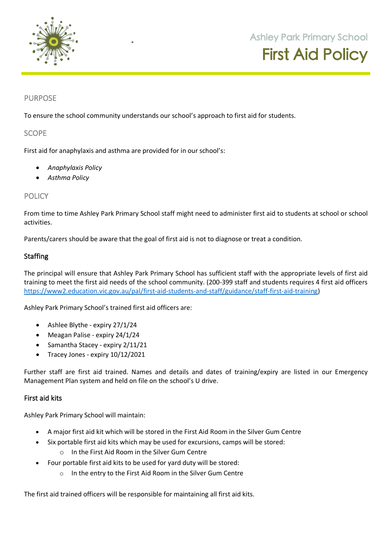

**105 Orchard Road Doreen 3754**

## PURPOSE

To ensure the school community understands our school's approach to first aid for students.

**SCOPE** 

First aid for anaphylaxis and asthma are provided for in our school's:

- *Anaphylaxis Policy*
- *Asthma Policy*

## **POLICY**

From time to time Ashley Park Primary School staff might need to administer first aid to students at school or school activities.

Parents/carers should be aware that the goal of first aid is not to diagnose or treat a condition.

## Staffing

The principal will ensure that Ashley Park Primary School has sufficient staff with the appropriate levels of first aid training to meet the first aid needs of the school community. (200-399 staff and students requires 4 first aid officers https://www2.education.vic.gov.au/pal/first-aid-students-and-staff/guidance/staff-first-aid-training)

Ashley Park Primary School's trained first aid officers are:

- Ashlee Blythe expiry 27/1/24
- Meagan Palise expiry 24/1/24
- Samantha Stacey expiry 2/11/21
- Tracey Jones expiry 10/12/2021

Further staff are first aid trained. Names and details and dates of training/expiry are listed in our Emergency Management Plan system and held on file on the school's U drive.

#### First aid kits

Ashley Park Primary School will maintain:

- A major first aid kit which will be stored in the First Aid Room in the Silver Gum Centre
- Six portable first aid kits which may be used for excursions, camps will be stored:
	- o In the First Aid Room in the Silver Gum Centre
- Four portable first aid kits to be used for yard duty will be stored:
	- o In the entry to the First Aid Room in the Silver Gum Centre

The first aid trained officers will be responsible for maintaining all first aid kits.